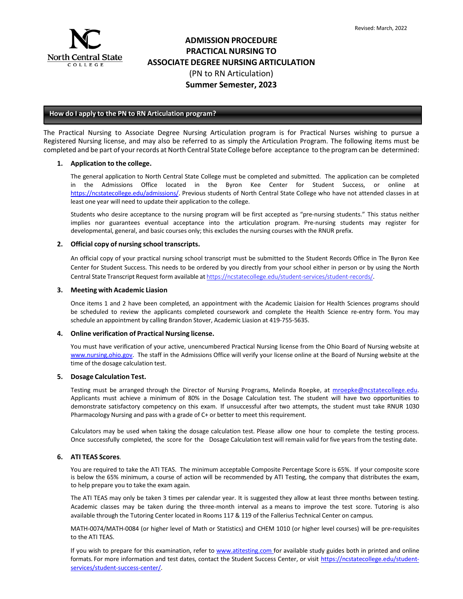

# **ADMISSION PROCEDURE PRACTICAL NURSING TO ASSOCIATE DEGREE NURSING ARTICULATION** (PN to RN Articulation) **Summer Semester, 2023**

## **How do I apply to the PN to RN Articulation program?**

The Practical Nursing to Associate Degree Nursing Articulation program is for Practical Nurses wishing to pursue a Registered Nursing license, and may also be referred to as simply the Articulation Program. The following items must be completed and be part of your records at North Central State College before acceptance to the program can be determined:

### **1. Application to the college.**

The general application to North Central State College must be completed and submitted. The application can be completed in the Admissions Office located in the Byron Kee Center for Student Success, or online at [https://ncstatecollege.edu/admissions/.](https://ncstatecollege.edu/admissions/) Previous students of North Central State College who have not attended classes in at least one year will need to update their application to the college.

Students who desire acceptance to the nursing program will be first accepted as "pre-nursing students." This status neither implies nor guarantees eventual acceptance into the articulation program. Pre-nursing students may register for developmental, general, and basic courses only; this excludes the nursing courses with the RNUR prefix.

### **2. Official copy of nursing school transcripts.**

An official copy of your practical nursing school transcript must be submitted to the Student Records Office in The Byron Kee Center for Student Success. This needs to be ordered by you directly from your school either in person or by using the North Central State Transcript Request form available at <https://ncstatecollege.edu/student-services/student-records/>.

#### **3. Meeting with Academic Liasion**

Once items 1 and 2 have been completed, an appointment with the Academic Liaision for Health Sciences programs should be scheduled to review the applicants completed coursework and complete the Health Science re-entry form. You may schedule an appointment by calling Brandon Stover, Academic Liasion at 419-755-5635.

## **4. Online verification of Practical Nursing license.**

You must have verification of your active, unencumbered Practical Nursing license from the Ohio Board of Nursing website at [www.nursing.ohio.gov.](http://www.nursing.ohio.gov/) The staff in the Admissions Office will verify your license online at the Board of Nursing website at the time of the dosage calculation test.

## **5. Dosage Calculation Test.**

Testing must be arranged through the Director of Nursing Programs, Melinda Roepke, at [mroepke@ncstatecollege.edu.](mailto:mroepke@ncstatecollege.edu) Applicants must achieve a minimum of 80% in the Dosage Calculation test. The student will have two opportunities to demonstrate satisfactory competency on this exam. If unsuccessful after two attempts, the student must take RNUR 1030 Pharmacology Nursing and pass with a grade of C+ or better to meet this requirement.

Calculators may be used when taking the dosage calculation test. Please allow one hour to complete the testing process. Once successfully completed, the score for the Dosage Calculation test will remain valid for five years from the testing date.

## **6. ATI TEAS Scores**.

You are required to take the ATI TEAS. The minimum acceptable Composite Percentage Score is 65%. If your composite score is below the 65% minimum, a course of action will be recommended by ATI Testing, the company that distributes the exam, to help prepare you to take the exam again.

The ATI TEAS may only be taken 3 times per calendar year. It is suggested they allow at least three months between testing. Academic classes may be taken during the three-month interval as a means to improve the test score. Tutoring is also available through the Tutoring Center located in Rooms 117 & 119 of the Fallerius Technical Center on campus.

MATH-0074/MATH-0084 (or higher level of Math or Statistics) and CHEM 1010 (or higher level courses) will be pre-requisites to the ATI TEAS.

If you wish to prepare for this examination, refer to [www.atitesting.com](http://www.atitesting.com/) for available study guides both in printed and online formats. For more information and test dates, contact the Student Success Center, or visit [https://ncstatecollege.edu/student](https://ncstatecollege.edu/student-services/student-success-center/)[services/student-success-center/.](https://ncstatecollege.edu/student-services/student-success-center/)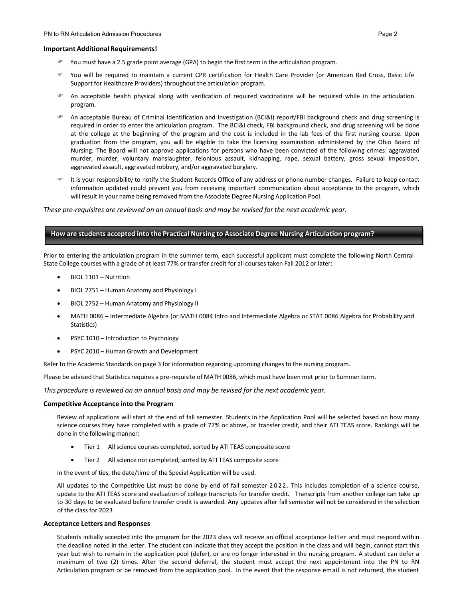#### **Important Additional Requirements!**

- You must have a 2.5 grade point average (GPA) to begin the first term in the articulation program.
- You will be required to maintain a current CPR certification for Health Care Provider (or American Red Cross, Basic Life Support for Healthcare Providers) throughout the articulation program.
- An acceptable health physical along with verification of required vaccinations will be required while in the articulation program.
- An acceptable Bureau of Criminal Identification and Investigation (BCI&I) report/FBI background check and drug screening is required in order to enter the articulation program. The BCI&I check, FBI background check, and drug screening will be done at the college at the beginning of the program and the cost is included in the lab fees of the first nursing course. Upon graduation from the program, you will be eligible to take the licensing examination administered by the Ohio Board of Nursing. The Board will not approve applications for persons who have been convicted of the following crimes: aggravated murder, murder, voluntary manslaughter, felonious assault, kidnapping, rape, sexual battery, gross sexual imposition, aggravated assault, aggravated robbery, and/or aggravated burglary.
- <sup>■</sup> It is your responsibility to notify the Student Records Office of any address or phone number changes. Failure to keep contact information updated could prevent you from receiving important communication about acceptance to the program, which will result in your name being removed from the Associate Degree Nursing Application Pool.

*These pre-requisites are reviewed on an annual basis and may be revised for the next academic year.*

## **How are students accepted into the Practical Nursing to Associate Degree Nursing Articulation program?**

Prior to entering the articulation program in the summer term, each successful applicant must complete the following North Central State College courses with a grade of at least 77% or transfer credit for all coursestaken Fall 2012 or later:

- BIOL 1101 Nutrition
- BIOL 2751 Human Anatomy and Physiology I
- BIOL 2752 Human Anatomy and Physiology II
- MATH 0086 Intermediate Algebra (or MATH 0084 Intro and Intermediate Algebra or STAT 0086 Algebra for Probability and Statistics)
- PSYC 1010 Introduction to Psychology
- PSYC 2010 Human Growth and Development

Refer to the Academic Standards on page 3 for information regarding upcoming changes to the nursing program.

Please be advised that Statistics requires a pre-requisite of MATH 0086, which must have been met prior to Summer term.

*This procedure is reviewed on an annual basis and may be revised for the next academic year.*

#### **Competitive Acceptance into the Program**

Review of applications will start at the end of fall semester. Students in the Application Pool will be selected based on how many science courses they have completed with a grade of 77% or above, or transfer credit, and their ATI TEAS score. Rankings will be done in the following manner:

- Tier 1 All science courses completed, sorted by ATI TEAS composite score
- Tier 2 All science not completed, sorted by ATI TEAS composite score

In the event of ties, the date/time of the Special Application will be used.

All updates to the Competitive List must be done by end of fall semester 2022 . This includes completion of a science course, update to the ATI TEAS score and evaluation of college transcripts for transfer credit. Transcripts from another college can take up to 30 days to be evaluated before transfer credit is awarded. Any updates after fall semester will not be considered in the selection of the class for 2023

#### **Acceptance Letters and Responses**

Students initially accepted into the program for the 2023 class will receive an official acceptance letter and must respond within the deadline noted in the letter. The student can indicate that they accept the position in the class and will begin, cannot start this year but wish to remain in the application pool (defer), or are no longer interested in the nursing program. A student can defer a maximum of two (2) times. After the second deferral, the student must accept the next appointment into the PN to RN Articulation program or be removed from the application pool. In the event that the response email is not returned, the student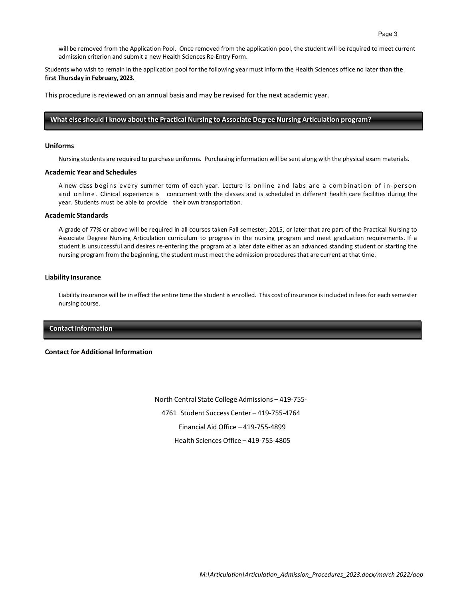will be removed from the Application Pool. Once removed from the application pool, the student will be required to meet current admission criterion and submit a new Health Sciences Re-Entry Form.

Students who wish to remain in the application pool for the following year must inform the Health Sciences office no later than **the first Thursday in February, 2023.**

This procedure is reviewed on an annual basis and may be revised for the next academic year.

### **What else should I know about the Practical Nursing to Associate Degree Nursing Articulation program?**

#### **Uniforms**

Nursing students are required to purchase uniforms. Purchasing information will be sent along with the physical exam materials.

### **Academic Year and Schedules**

A new class begins every summer term of each year. Lecture is online and labs are a combination of in-person and online. Clinical experience is concurrent with the classes and is scheduled in different health care facilities during the year. Students must be able to provide their own transportation.

#### **Academic Standards**

A grade of 77% or above will be required in all courses taken Fall semester, 2015, or later that are part of the Practical Nursing to Associate Degree Nursing Articulation curriculum to progress in the nursing program and meet graduation requirements. If a student is unsuccessful and desires re-entering the program at a later date either as an advanced standing student or starting the nursing program from the beginning, the student must meet the admission procedures that are current at that time.

#### **Liability Insurance**

Liability insurance will be in effect the entire time the student is enrolled. This cost of insurance isincluded in feesfor each semester nursing course.

## **Contact Information**

#### **Contact for Additional Information**

North Central State College Admissions – 419-755- 4761 Student Success Center – 419-755-4764 Financial Aid Office – 419-755-4899 Health Sciences Office – 419-755-4805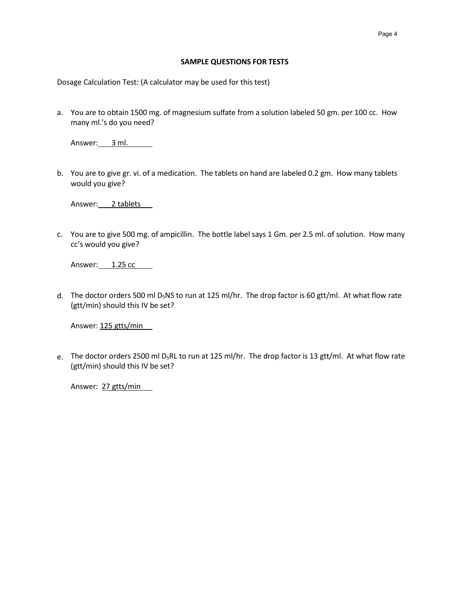## **SAMPLE QUESTIONS FOR TESTS**

Dosage Calculation Test: (A calculator may be used for this test)

a. You are to obtain 1500 mg. of magnesium sulfate from a solution labeled 50 gm. per 100 cc. How many ml.'s do you need?

Answer: 3 ml.

b. You are to give gr. vi. of a medication. The tablets on hand are labeled 0.2 gm. How many tablets would you give?

Answer: 2 tablets

c. You are to give 500 mg. of ampicillin. The bottle labelsays 1 Gm. per 2.5 ml. of solution. How many cc's would you give?

Answer: 1.25 cc

d. The doctor orders 500 ml D<sub>5</sub>NS to run at 125 ml/hr. The drop factor is 60 gtt/ml. At what flow rate (gtt/min) should this IV be set?

Answer: 125 gtts/min

e. The doctor orders 2500 ml D<sub>5</sub>RL to run at 125 ml/hr. The drop factor is 13 gtt/ml. At what flow rate (gtt/min) should this IV be set?

Answer: 27 gtts/min